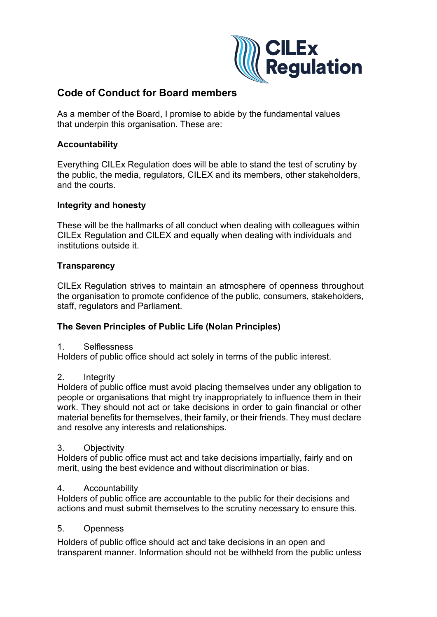

# **Code of Conduct for Board members**

As a member of the Board, I promise to abide by the fundamental values that underpin this organisation. These are:

# **Accountability**

Everything CILEx Regulation does will be able to stand the test of scrutiny by the public, the media, regulators, CILEX and its members, other stakeholders, and the courts.

### **Integrity and honesty**

These will be the hallmarks of all conduct when dealing with colleagues within CILEx Regulation and CILEX and equally when dealing with individuals and institutions outside it.

# **Transparency**

CILEx Regulation strives to maintain an atmosphere of openness throughout the organisation to promote confidence of the public, consumers, stakeholders, staff, regulators and Parliament.

### **The Seven Principles of Public Life (Nolan Principles)**

1. Selflessness

Holders of public office should act solely in terms of the public interest.

### 2. Integrity

Holders of public office must avoid placing themselves under any obligation to people or organisations that might try inappropriately to influence them in their work. They should not act or take decisions in order to gain financial or other material benefits for themselves, their family, or their friends. They must declare and resolve any interests and relationships.

#### 3. Objectivity

Holders of public office must act and take decisions impartially, fairly and on merit, using the best evidence and without discrimination or bias.

### 4. Accountability

Holders of public office are accountable to the public for their decisions and actions and must submit themselves to the scrutiny necessary to ensure this.

### 5. Openness

Holders of public office should act and take decisions in an open and transparent manner. Information should not be withheld from the public unless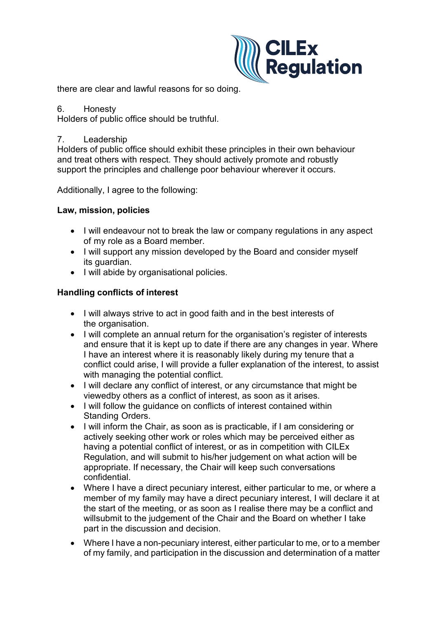

there are clear and lawful reasons for so doing.

#### 6. Honesty

Holders of public office should be truthful.

### 7. Leadership

Holders of public office should exhibit these principles in their own behaviour and treat others with respect. They should actively promote and robustly support the principles and challenge poor behaviour wherever it occurs.

Additionally, I agree to the following:

# **Law, mission, policies**

- I will endeavour not to break the law or company regulations in any aspect of my role as a Board member.
- I will support any mission developed by the Board and consider myself its guardian.
- I will abide by organisational policies.

# **Handling conflicts of interest**

- I will always strive to act in good faith and in the best interests of the organisation.
- I will complete an annual return for the organisation's register of interests and ensure that it is kept up to date if there are any changes in year. Where I have an interest where it is reasonably likely during my tenure that a conflict could arise, I will provide a fuller explanation of the interest, to assist with managing the potential conflict.
- I will declare any conflict of interest, or any circumstance that might be viewedby others as a conflict of interest, as soon as it arises.
- I will follow the guidance on conflicts of interest contained within Standing Orders.
- I will inform the Chair, as soon as is practicable, if I am considering or actively seeking other work or roles which may be perceived either as having a potential conflict of interest, or as in competition with CILEx Regulation, and will submit to his/her judgement on what action will be appropriate. If necessary, the Chair will keep such conversations confidential.
- Where I have a direct pecuniary interest, either particular to me, or where a member of my family may have a direct pecuniary interest, I will declare it at the start of the meeting, or as soon as I realise there may be a conflict and willsubmit to the judgement of the Chair and the Board on whether I take part in the discussion and decision.
- Where I have a non-pecuniary interest, either particular to me, or to a member of my family, and participation in the discussion and determination of a matter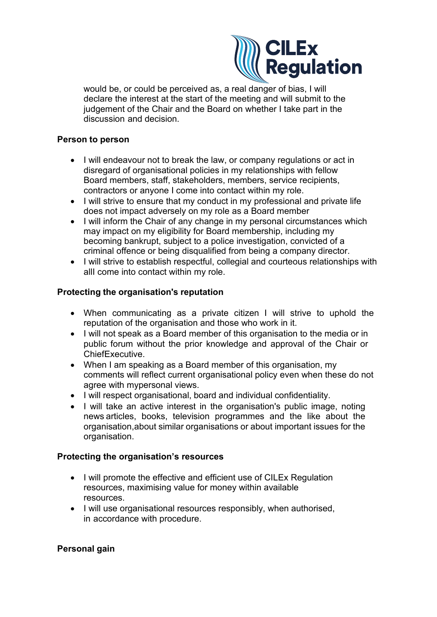

would be, or could be perceived as, a real danger of bias, I will declare the interest at the start of the meeting and will submit to the judgement of the Chair and the Board on whether I take part in the discussion and decision.

#### **Person to person**

- I will endeavour not to break the law, or company regulations or act in disregard of organisational policies in my relationships with fellow Board members, staff, stakeholders, members, service recipients, contractors or anyone I come into contact within my role.
- I will strive to ensure that my conduct in my professional and private life does not impact adversely on my role as a Board member
- I will inform the Chair of any change in my personal circumstances which may impact on my eligibility for Board membership, including my becoming bankrupt, subject to a police investigation, convicted of a criminal offence or being disqualified from being a company director.
- I will strive to establish respectful, collegial and courteous relationships with allI come into contact within my role.

# **Protecting the organisation's reputation**

- When communicating as a private citizen I will strive to uphold the reputation of the organisation and those who work in it.
- I will not speak as a Board member of this organisation to the media or in public forum without the prior knowledge and approval of the Chair or ChiefExecutive.
- When I am speaking as a Board member of this organisation, my comments will reflect current organisational policy even when these do not agree with mypersonal views.
- I will respect organisational, board and individual confidentiality.
- I will take an active interest in the organisation's public image, noting news articles, books, television programmes and the like about the organisation,about similar organisations or about important issues for the organisation.

### **Protecting the organisation's resources**

- I will promote the effective and efficient use of CILEx Regulation resources, maximising value for money within available resources.
- I will use organisational resources responsibly, when authorised, in accordance with procedure.

### **Personal gain**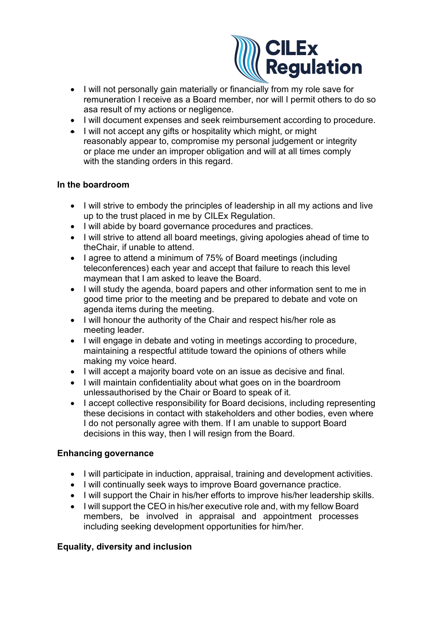

- I will not personally gain materially or financially from my role save for remuneration I receive as a Board member, nor will I permit others to do so asa result of my actions or negligence.
- I will document expenses and seek reimbursement according to procedure.
- I will not accept any gifts or hospitality which might, or might reasonably appear to, compromise my personal judgement or integrity or place me under an improper obligation and will at all times comply with the standing orders in this regard.

# **In the boardroom**

- I will strive to embody the principles of leadership in all my actions and live up to the trust placed in me by CILEx Regulation.
- I will abide by board governance procedures and practices.
- I will strive to attend all board meetings, giving apologies ahead of time to theChair, if unable to attend.
- I agree to attend a minimum of 75% of Board meetings (including teleconferences) each year and accept that failure to reach this level maymean that I am asked to leave the Board.
- I will study the agenda, board papers and other information sent to me in good time prior to the meeting and be prepared to debate and vote on agenda items during the meeting.
- I will honour the authority of the Chair and respect his/her role as meeting leader.
- I will engage in debate and voting in meetings according to procedure, maintaining a respectful attitude toward the opinions of others while making my voice heard.
- I will accept a majority board vote on an issue as decisive and final.
- I will maintain confidentiality about what goes on in the boardroom unlessauthorised by the Chair or Board to speak of it.
- I accept collective responsibility for Board decisions, including representing these decisions in contact with stakeholders and other bodies, even where I do not personally agree with them. If I am unable to support Board decisions in this way, then I will resign from the Board.

# **Enhancing governance**

- I will participate in induction, appraisal, training and development activities.
- I will continually seek ways to improve Board governance practice.
- I will support the Chair in his/her efforts to improve his/her leadership skills.
- I will support the CEO in his/her executive role and, with my fellow Board members, be involved in appraisal and appointment processes including seeking development opportunities for him/her.

# **Equality, diversity and inclusion**